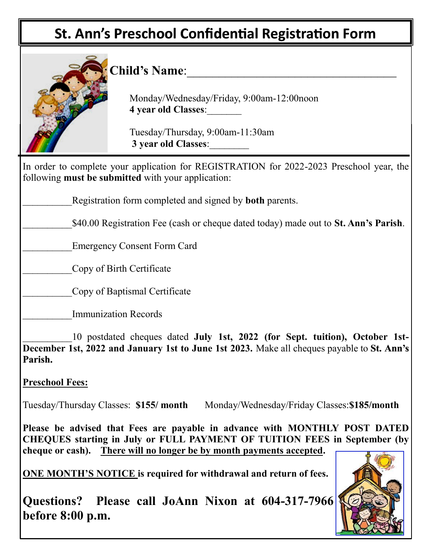## **St. Ann's Preschool Confidential Registration Form**

**Questions? Please call JoAnn Nixon at 604-317-7966 before 8:00 p.m.**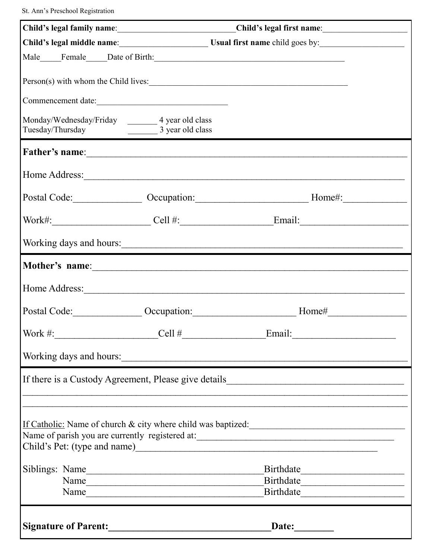St. Ann's Preschool Registration

|                                                                                                                 | Child's legal family name: Child's legal first name:                                                 |  |  |  |
|-----------------------------------------------------------------------------------------------------------------|------------------------------------------------------------------------------------------------------|--|--|--|
|                                                                                                                 |                                                                                                      |  |  |  |
|                                                                                                                 |                                                                                                      |  |  |  |
| Person(s) with whom the Child lives:                                                                            |                                                                                                      |  |  |  |
| Commencement date:                                                                                              |                                                                                                      |  |  |  |
| Monday/Wednesday/Friday ________ 4 year old class<br>Tuesday/Thursday 23 year old class                         |                                                                                                      |  |  |  |
|                                                                                                                 |                                                                                                      |  |  |  |
|                                                                                                                 |                                                                                                      |  |  |  |
|                                                                                                                 | Postal Code: __________________ Occupation: ___________________________________Home#: ______________ |  |  |  |
|                                                                                                                 |                                                                                                      |  |  |  |
|                                                                                                                 |                                                                                                      |  |  |  |
|                                                                                                                 |                                                                                                      |  |  |  |
|                                                                                                                 |                                                                                                      |  |  |  |
|                                                                                                                 |                                                                                                      |  |  |  |
| Work #:<br>$\text{Cell} \#$                                                                                     | Email:                                                                                               |  |  |  |
| Working days and hours:                                                                                         |                                                                                                      |  |  |  |
| If there is a Custody Agreement, Please give details_____________________________                               |                                                                                                      |  |  |  |
|                                                                                                                 |                                                                                                      |  |  |  |
| If Catholic: Name of church & city where child was baptized:<br>Name of parish you are currently registered at: |                                                                                                      |  |  |  |
| Siblings: Name                                                                                                  |                                                                                                      |  |  |  |
| Name                                                                                                            |                                                                                                      |  |  |  |
|                                                                                                                 |                                                                                                      |  |  |  |
| Signature of Parent:                                                                                            |                                                                                                      |  |  |  |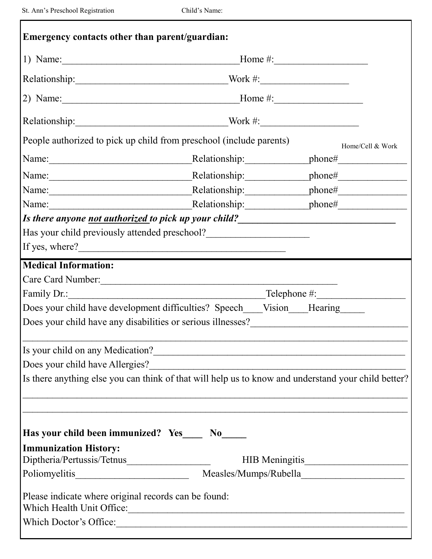٦

| Relationship: $\frac{W \cdot W}{\cdot}$<br>People authorized to pick up child from preschool (include parents)<br>Home/Cell & Work<br>Has your child previously attended preschool?<br><u>Letting</u><br>If yes, where?<br><b>Medical Information:</b><br>Care Card Number:<br>Does your child have development difficulties? Speech____Vision____Hearing______<br>Does your child have any disabilities or serious illnesses?______________________<br>Is your child on any Medication?<br>Is there anything else you can think of that will help us to know and understand your child better?<br>Has your child been immunized? Yes____ No_____<br><b>Immunization History:</b><br>HIB Meningitis<br>Please indicate where original records can be found:<br>Which Health Unit Office:<br>Which Doctor's Office: | Emergency contacts other than parent/guardian: |  |  |  |  |
|--------------------------------------------------------------------------------------------------------------------------------------------------------------------------------------------------------------------------------------------------------------------------------------------------------------------------------------------------------------------------------------------------------------------------------------------------------------------------------------------------------------------------------------------------------------------------------------------------------------------------------------------------------------------------------------------------------------------------------------------------------------------------------------------------------------------|------------------------------------------------|--|--|--|--|
|                                                                                                                                                                                                                                                                                                                                                                                                                                                                                                                                                                                                                                                                                                                                                                                                                    |                                                |  |  |  |  |
|                                                                                                                                                                                                                                                                                                                                                                                                                                                                                                                                                                                                                                                                                                                                                                                                                    |                                                |  |  |  |  |
|                                                                                                                                                                                                                                                                                                                                                                                                                                                                                                                                                                                                                                                                                                                                                                                                                    |                                                |  |  |  |  |
|                                                                                                                                                                                                                                                                                                                                                                                                                                                                                                                                                                                                                                                                                                                                                                                                                    |                                                |  |  |  |  |
|                                                                                                                                                                                                                                                                                                                                                                                                                                                                                                                                                                                                                                                                                                                                                                                                                    |                                                |  |  |  |  |
|                                                                                                                                                                                                                                                                                                                                                                                                                                                                                                                                                                                                                                                                                                                                                                                                                    |                                                |  |  |  |  |
|                                                                                                                                                                                                                                                                                                                                                                                                                                                                                                                                                                                                                                                                                                                                                                                                                    |                                                |  |  |  |  |
|                                                                                                                                                                                                                                                                                                                                                                                                                                                                                                                                                                                                                                                                                                                                                                                                                    |                                                |  |  |  |  |
|                                                                                                                                                                                                                                                                                                                                                                                                                                                                                                                                                                                                                                                                                                                                                                                                                    |                                                |  |  |  |  |
|                                                                                                                                                                                                                                                                                                                                                                                                                                                                                                                                                                                                                                                                                                                                                                                                                    |                                                |  |  |  |  |
|                                                                                                                                                                                                                                                                                                                                                                                                                                                                                                                                                                                                                                                                                                                                                                                                                    |                                                |  |  |  |  |
|                                                                                                                                                                                                                                                                                                                                                                                                                                                                                                                                                                                                                                                                                                                                                                                                                    |                                                |  |  |  |  |
|                                                                                                                                                                                                                                                                                                                                                                                                                                                                                                                                                                                                                                                                                                                                                                                                                    |                                                |  |  |  |  |
|                                                                                                                                                                                                                                                                                                                                                                                                                                                                                                                                                                                                                                                                                                                                                                                                                    |                                                |  |  |  |  |
|                                                                                                                                                                                                                                                                                                                                                                                                                                                                                                                                                                                                                                                                                                                                                                                                                    |                                                |  |  |  |  |
|                                                                                                                                                                                                                                                                                                                                                                                                                                                                                                                                                                                                                                                                                                                                                                                                                    |                                                |  |  |  |  |
|                                                                                                                                                                                                                                                                                                                                                                                                                                                                                                                                                                                                                                                                                                                                                                                                                    |                                                |  |  |  |  |
|                                                                                                                                                                                                                                                                                                                                                                                                                                                                                                                                                                                                                                                                                                                                                                                                                    |                                                |  |  |  |  |
|                                                                                                                                                                                                                                                                                                                                                                                                                                                                                                                                                                                                                                                                                                                                                                                                                    |                                                |  |  |  |  |
|                                                                                                                                                                                                                                                                                                                                                                                                                                                                                                                                                                                                                                                                                                                                                                                                                    |                                                |  |  |  |  |
|                                                                                                                                                                                                                                                                                                                                                                                                                                                                                                                                                                                                                                                                                                                                                                                                                    |                                                |  |  |  |  |
|                                                                                                                                                                                                                                                                                                                                                                                                                                                                                                                                                                                                                                                                                                                                                                                                                    |                                                |  |  |  |  |
|                                                                                                                                                                                                                                                                                                                                                                                                                                                                                                                                                                                                                                                                                                                                                                                                                    |                                                |  |  |  |  |
|                                                                                                                                                                                                                                                                                                                                                                                                                                                                                                                                                                                                                                                                                                                                                                                                                    |                                                |  |  |  |  |
|                                                                                                                                                                                                                                                                                                                                                                                                                                                                                                                                                                                                                                                                                                                                                                                                                    |                                                |  |  |  |  |
|                                                                                                                                                                                                                                                                                                                                                                                                                                                                                                                                                                                                                                                                                                                                                                                                                    |                                                |  |  |  |  |
|                                                                                                                                                                                                                                                                                                                                                                                                                                                                                                                                                                                                                                                                                                                                                                                                                    |                                                |  |  |  |  |